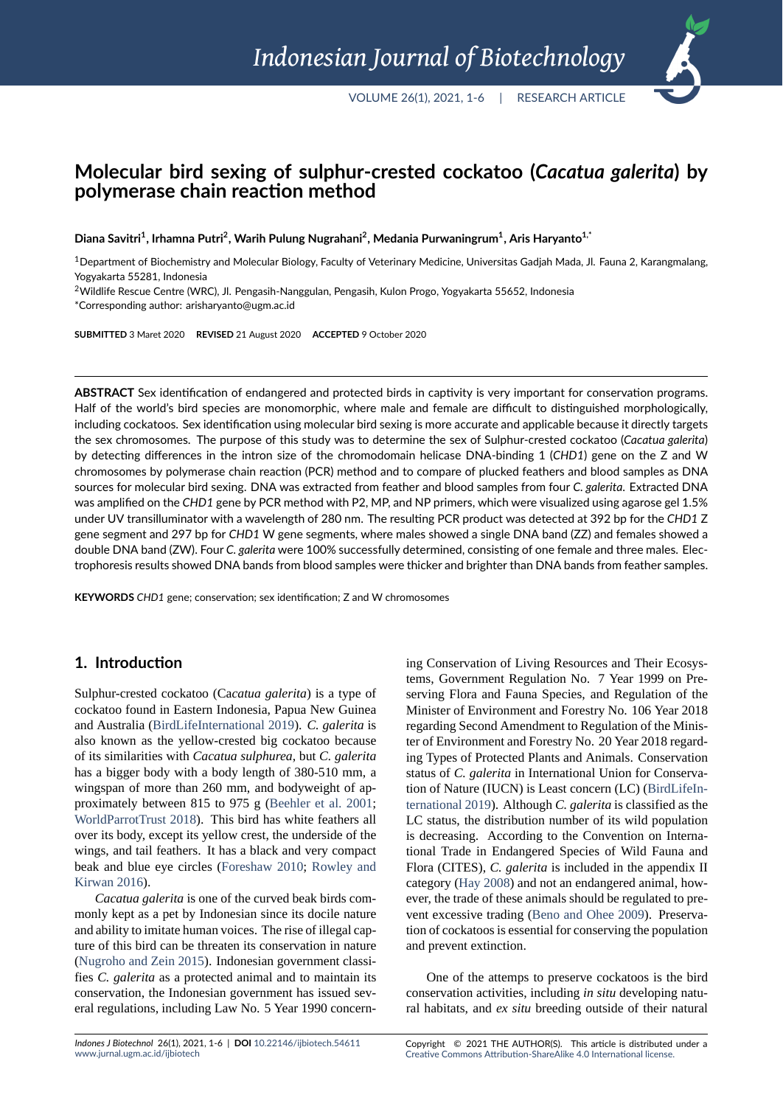# **Molecular bird sexing of sulphur‐crested cockatoo (***Cacatua galerita***) by polymerase chain reaction method**

**Diana Savitri<sup>1</sup> , Irhamna Putri<sup>2</sup> , Warih Pulung Nugrahani<sup>2</sup> , Medania Purwaningrum<sup>1</sup> , Aris Haryanto1,\***

 $1$ Department of Biochemistry and Molecular Biology, Faculty of Veterinary Medicine, Universitas Gadjah Mada, Jl. Fauna 2, Karangmalang, Yogyakarta 55281, Indonesia

<sup>2</sup>Wildlife Rescue Centre (WRC), Jl. Pengasih‐Nanggulan, Pengasih, Kulon Progo, Yogyakarta 55652, Indonesia

\*Corresponding author: arisharyanto@ugm.ac.id

**SUBMITTED** 3 Maret 2020 **REVISED** 21 August 2020 **ACCEPTED** 9 October 2020

**ABSTRACT** Sex identification of endangered and protected birds in captivity is very important for conservation programs. Half of the world's bird species are monomorphic, where male and female are difficult to distinguished morphologically, including cockatoos. Sex identification using molecular bird sexing is more accurate and applicable because it directly targets the sex chromosomes. The purpose of this study was to determine the sex of Sulphur‐crested cockatoo (*Cacatua galerita*) by detecting differences in the intron size of the chromodomain helicase DNA‐binding 1 (*CHD1*) gene on the Z and W chromosomes by polymerase chain reaction (PCR) method and to compare of plucked feathers and blood samples as DNA sources for molecular bird sexing. DNA was extracted from feather and blood samples from four *C. galerita*. Extracted DNA was amplified on the *CHD1* gene by PCR method with P2, MP, and NP primers, which were visualized using agarose gel 1.5% under UV transilluminator with a wavelength of 280 nm. The resulting PCR product was detected at 392 bp for the *CHD1* Z gene segment and 297 bp for *CHD1* W gene segments, where males showed a single DNA band (ZZ) and females showed a double DNA band (ZW). Four *C. galerita* were 100% successfully determined, consisting of one female and three males. Elec‐ trophoresis results showed DNA bands from blood samples were thicker and brighter than DNA bands from feather samples.

**KEYWORDS** *CHD1* gene; conservation; sex identification; Z and W chromosomes

#### **1. Introduction**

Sulphur-crested cockatoo (Cacatua galerita) is a type of cockatoo found in Eastern Indonesia, Papua New Guinea and Australia (BirdLifeInternational 2019). *C. galerita* is also known as the yellow-crested big cockatoo because of its similarities with *Cacatua sulphurea*, but *C. galerita* has a bigger body with a body length of 380-510 mm, a wingspan of [more than 260 mm, and bod](#page-4-0)yweight of approximately between 815 to 975 g (Beehler et al. 2001; WorldParrotTrust 2018). This bird has white feathers all over its body, except its yellow crest, the underside of the wings, and tail feathers. It has a black and very compact beak and blue eye circles (Foreshaw [2010;](#page-4-1) Rowle[y and](#page-4-1) [Kirwan](#page-5-0) 2016).

*Cacatua galerita* is one of the curved beak birds commonly kept as a pet by Indonesian since its docile nature and ability to imitate human [voices. The rise](#page-4-2) [of illegal cap](#page-5-1)[ture of this bi](#page-5-1)rd can be threaten its conservation in nature (Nugroho and Zein 2015). Indonesian government classifies *C. galerita* as a protected animal and to maintain its conservation, the Indonesian government has issued several regulations, including Law No. 5 Year 1990 concerning Conservation of Living Resources and Their Ecosystems, Government Regulation No. 7 Year 1999 on Preserving Flora and Fauna Species, and Regulation of the Minister of Environment and Forestry No. 106 Year 2018 regarding Second Amendment to Regulation of the Minister of Environment and Forestry No. 20 Year 2018 regarding Types of Protected Plants and Animals. Conservation status of *C. galerita* in International Union for Conservation of Nature (IUCN) is Least concern (LC) (BirdLifeInternational 2019). Although *C. galerita* is classified as the LC status, the distribution number of its wild population is decreasing. According to the Convention on International Trade in Endangered Species of Wild [Fauna and](#page-4-0) [Flora \(CITES\),](#page-4-0) *C. galerita* is included in the appendix II category (Hay 2008) and not an endangered animal, however, the trade of these animals should be regulated to prevent excessive trading (Beno and Ohee 2009). Preservation of cockatoos is essential for conserving the population and preve[nt extincti](#page-4-3)on.

One of the attemps [to preserve cockatoo](#page-4-4)s is the bird conservation activities, including *in situ* developing natural habitats, and *ex situ* breeding outside of their natural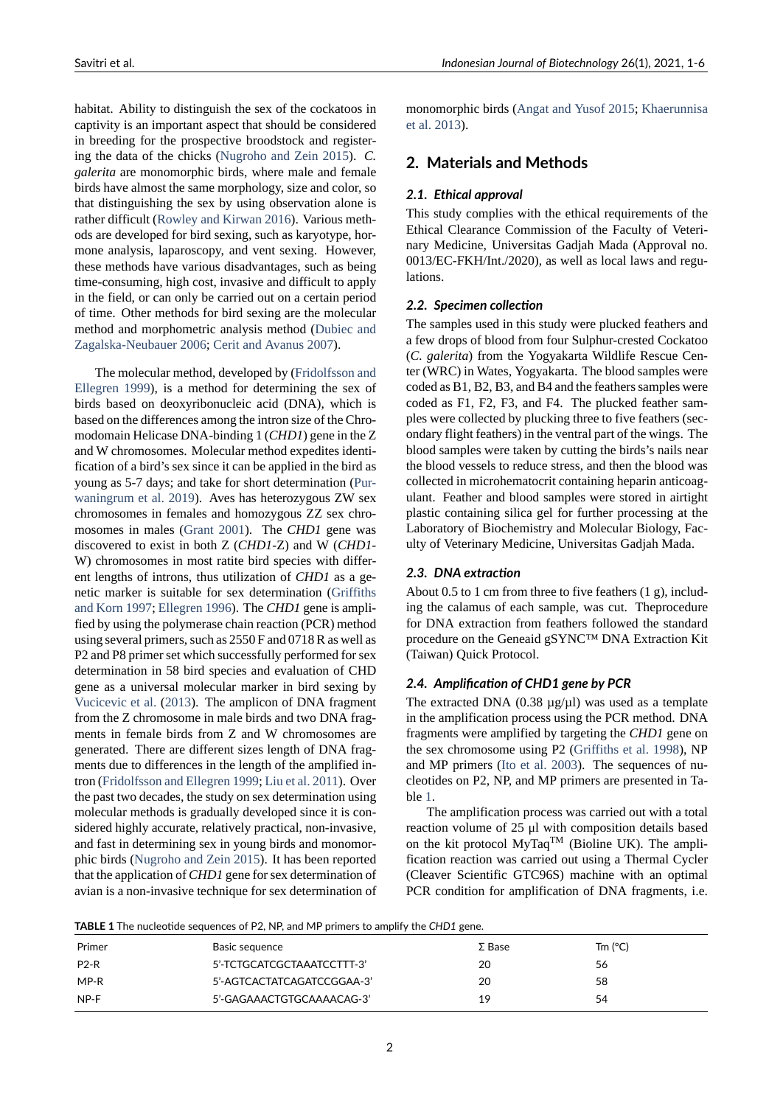habitat. Ability to distinguish the sex of the cockatoos in captivity is an important aspect that should be considered in breeding for the prospective broodstock and registering the data of the chicks (Nugroho and Zein 2015). *C. galerita* are monomorphic birds, where male and female birds have almost the same morphology, size and color, so that distinguishing the sex by using observation alone is rather difficult (Rowley and Kirwan [2016\). Various m](#page-4-5)ethods are developed for bird sexing, such as karyotype, hormone analysis, laparoscopy, and vent sexing. However, these methods have various disadvantages, such as being time-consumin[g, high cost, invasive and d](#page-5-1)ifficult to apply in the field, or can only be carried out on a certain period of time. Other methods for bird sexing are the molecular method and morphometric analysis method (Dubiec and Zagalska-Neubauer 2006; Cerit and Avanus 2007).

The molecular method, developed by (Fridolfsson and Ellegren 1999), is a method for determinin[g the sex of](#page-4-6) [birds based on deoxyrib](#page-4-6)[onucleic acid \(DNA\), w](#page-4-7)hich is based on the differences among the intron size of the Chromodomain Helicase DNA-binding 1 (*CHD1*[\) gene in the Z](#page-4-8) [and W chromo](#page-4-8)somes. Molecular method expedites identification of a bird's sex since it can be applied in the bird as young as 5-7 days; and take for short determination (Purwaningrum et al. 2019). Aves has heterozygous ZW sex chromosomes in females and homozygous ZZ sex chromosomes in males (Grant 2001). The *CHD1* gene was discovered to exist in both Z (*C[HD1](#page-5-2)*-Z) and W (*CHD1*-[W\) chromosomes in m](#page-5-2)ost ratite bird species with different lengths of introns, thus utilization of *CHD1* as a genetic marker is suit[able for sex](#page-4-9) determination (Griffiths and Korn 1997; Ellegren 1996). The *CHD1* gene is amplified by using the polymerase chain reaction (PCR) method using several primers, such as 2550 F and 0718 R as well as P2 and P8 primer set which successfully perform[ed for sex](#page-4-10) [determination i](#page-4-10)[n 58 bird spec](#page-4-11)ies and evaluation of CHD gene as a universal molecular marker in bird sexing by Vucicevic et al. (2013). The amplicon of DNA fragment from the Z chromosome in male birds and two DNA fragments in female birds from Z and W chromosomes are generated. There are different sizes length of DNA frag[ments due to dif](#page-5-3)f[erence](#page-5-3)s in the length of the amplified intron (Fridolfsson and Ellegren 1999; Liu et al. 2011). Over the past two decades, the study on sex determination using molecular methods is gradually developed since it is considered highly accurate, relatively practical, non-invasive, andf[ast in determining sex in youn](#page-4-8)[g birds and mon](#page-4-12)omorphic birds (Nugroho and Zein 2015). It has been reported that the application of *CHD1* gene for sex determination of avian is a non-invasive technique for sex determination of

monomorphic birds (Angat and Yusof 2015; Khaerunnisa et al. 2013).

### **2. Materials an[d Methods](#page-4-13)**

#### *[2.1.](#page-4-14) [Ethic](#page-4-14)al approval*

This study complies with the ethical requirements of the Ethical Clearance Commission of the Faculty of Veterinary Medicine, Universitas Gadjah Mada (Approval no. 0013/EC-FKH/Int./2020), as well as local laws and regulations.

#### *2.2. Specimen collection*

The samples used in this study were plucked feathers and a few drops of blood from four Sulphur-crested Cockatoo (*C. galerita*) from the Yogyakarta Wildlife Rescue Center (WRC) in Wates, Yogyakarta. The blood samples were coded as B1, B2, B3, and B4 and the feathers samples were coded as F1, F2, F3, and F4. The plucked feather samples were collected by plucking three to five feathers (secondary flight feathers) in the ventral part of the wings. The blood samples were taken by cutting the birds's nails near the blood vessels to reduce stress, and then the blood was collected in microhematocrit containing heparin anticoagulant. Feather and blood samples were stored in airtight plastic containing silica gel for further processing at the Laboratory of Biochemistry and Molecular Biology, Faculty of Veterinary Medicine, Universitas Gadjah Mada.

#### *2.3. DNA extraction*

About 0.5 to 1 cm from three to five feathers (1 g), including the calamus of each sample, was cut. Theprocedure for DNA extraction from feathers followed the standard procedure on the Geneaid gSYNC™ DNA Extraction Kit (Taiwan) Quick Protocol.

#### *2.4. Amplification of CHD1 gene by PCR*

The extracted DNA  $(0.38 \mu g/\mu l)$  was used as a template in the amplification process using the PCR method. DNA fragments were amplified by targeting the *CHD1* gene on the sex chromosome using P2 (Griffiths et al. 1998), NP and MP primers (Ito et al. 2003). The sequences of nucleotides on P2, NP, and MP primers are presented in Table 1.

The amplification process [was carried out with a](#page-4-15) total reaction volume [of 25 μl with co](#page-4-16)mposition details based on the kit protocol MyTaq<sup>TM</sup> (Bioline UK). The amplifica[ti](#page-1-0)on reaction was carried out using a Thermal Cycler (Cleaver Scientific GTC96S) machine with an optimal PCR condition for amplification of DNA fragments, i.e.

**TABLE 1** Th[e nucleotide sequences of P2](#page-4-5), NP, and MP primers to amplify the *CHD1* gene.

<span id="page-1-0"></span>

| Primer | Basic sequence             | $\Sigma$ Base | Tm (°C) |
|--------|----------------------------|---------------|---------|
| $P2-R$ | 5'-TCTGCATCGCTAAATCCTTT-3' | 20            | 56      |
| $MP-R$ | 5'-AGTCACTATCAGATCCGGAA-3' | 20            | 58      |
| NP-F   | 5'-GAGAAACTGTGCAAAACAG-3'  | 19            | 54      |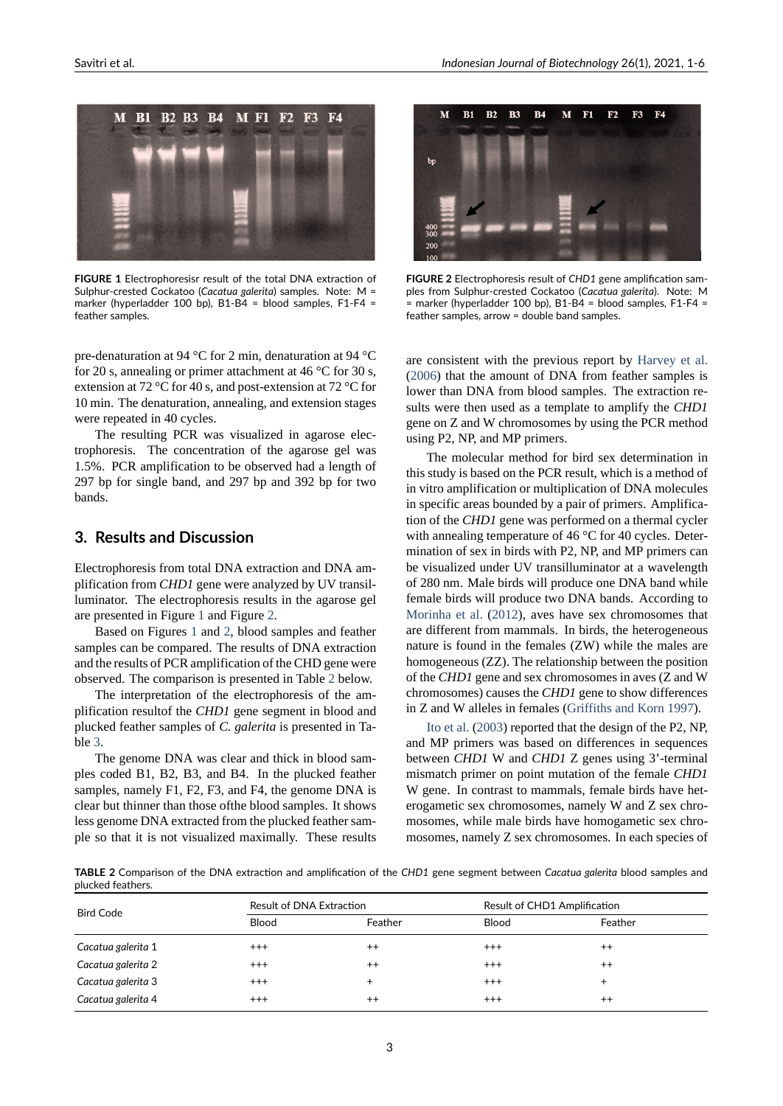<span id="page-2-0"></span>

**FIGURE 1** Electrophoresisr result of the total DNA extraction of Sulphur‐crested Cockatoo (*Cacatua galerita*) samples. Note: M = marker (hyperladder 100 bp), B1‐B4 = blood samples, F1‐F4 = feather samples.

pre-denaturation at 94 °C for 2 min, denaturation at 94 °C for 20 s, annealing or primer attachment at 46 °C for 30 s, extension at 72  $\rm{^{\circ}C}$  for 40 s, and post-extension at 72  $\rm{^{\circ}C}$  for 10 min. The denaturation, annealing, and extension stages were repeated in 40 cycles.

The resulting PCR was visualized in agarose electrophoresis. The concentration of the agarose gel was 1.5%. PCR amplification to be observed had a length of 297 bp for single band, and 297 bp and 392 bp for two bands.

#### **3. Results and Discussion**

Electrophoresis from total DNA extraction and DNA amplification from *CHD1* gene were analyzed by UV transilluminator. The electrophoresis results in the agarose gel are presented in Figure 1 and Figure 2.

Based on Figures 1 and 2, blood samples and feather samples can be compared. The results of DNA extraction and the results of PCR amplification of the CHD gene were observed. The compari[so](#page-2-0)n is present[ed](#page-2-1) in Table 2 below.

The interpretatio[n o](#page-2-0)f th[e](#page-2-1) electrophoresis of the amplification resultof the *CHD1* gene segment in blood and plucked feather samples of *C. galerita* is presented in Table 3.

The genome DNA was clear and thick in blood samples coded B1, B2, B3, and B4. In the plucked feather samples, namely F1, F2, F3, and F4, the genome DNA is cle[ar](#page-3-0) but thinner than those ofthe blood samples. It shows less genome DNA extracted from the plucked feather sample so that it is not visualized maximally. These results

<span id="page-2-1"></span>

**FIGURE 2** Electrophoresis result of *CHD1* gene amplification sam‐ ples from Sulphur‐crested Cockatoo (*Cacatua galerita*). Note: M = marker (hyperladder 100 bp), B1‐B4 = blood samples, F1‐F4 = feather samples, arrow = double band samples.

are consistent with the previous report by Harvey et al. (2006) that the amount of DNA from feather samples is lower than DNA from blood samples. The extraction results were then used as a template to amplify the *CHD1* gene on Z and W chromosomes by using th[e PCR method](#page-4-17) [using](#page-4-17) P2, NP, and MP primers.

The molecular method for bird sex determination in this study is based on the PCR result, which is a method of in vitro amplification or multiplication of DNA molecules in specific areas bounded by a pair of primers. Amplification of the *CHD1* gene was performed on a thermal cycler with annealing temperature of 46 °C for 40 cycles. Determination of sex in birds with P2, NP, and MP primers can be visualized under UV transilluminator at a wavelength of 280 nm. Male birds will produce one DNA band while female birds will produce two DNA bands. According to Morinha et al. (2012), aves have sex chromosomes that are different from mammals. In birds, the heterogeneous nature is found in the females (ZW) while the males are homogeneous (ZZ). The relationship between the position of the *[CHD1](#page-4-18)* ge[ne and](#page-4-18) sex chromosomes in aves (Z and W chromosomes) causes the *CHD1* gene to show differences in Z and W alleles in females (Griffiths and Korn 1997).

Ito et al. (2003) reported that the design of the P2, NP, and MP primers was based on differences in sequences between *CHD1* W and *CHD1* Z genes using 3'-terminal mismatch primer on point mu[tation of the female](#page-4-10) *[CHD](#page-4-10)1* W [gene. In contra](#page-4-16)st to mammals, female birds have heterogametic sex chromosomes, namely W and Z sex chromosomes, while male birds have homogametic sex chromosomes, namely Z sex chromosomes. In each species of

**TABLE 2** Comparison of the DNA extraction and amplification of the *CHD1* gene segment between *Cacatua galerita* blood samples and plucked feathers.

<span id="page-2-2"></span>

| <b>Bird Code</b>   | Result of DNA Extraction |           | Result of CHD1 Amplification |           |
|--------------------|--------------------------|-----------|------------------------------|-----------|
|                    | <b>Blood</b>             | Feather   | <b>Blood</b>                 | Feather   |
| Cacatua galerita 1 | $^{+++}$                 | $^{++}$   | $^{++}$                      | $++$      |
| Cacatua galerita 2 | $+++$                    | $^{++}$   | $^{++}$                      | $++$      |
| Cacatua galerita 3 | $+++$                    | $\ddot{}$ | $+++$                        | $\ddot{}$ |
| Cacatua galerita 4 | $+++$                    | $^{++}$   | $^{++}$                      | $++$      |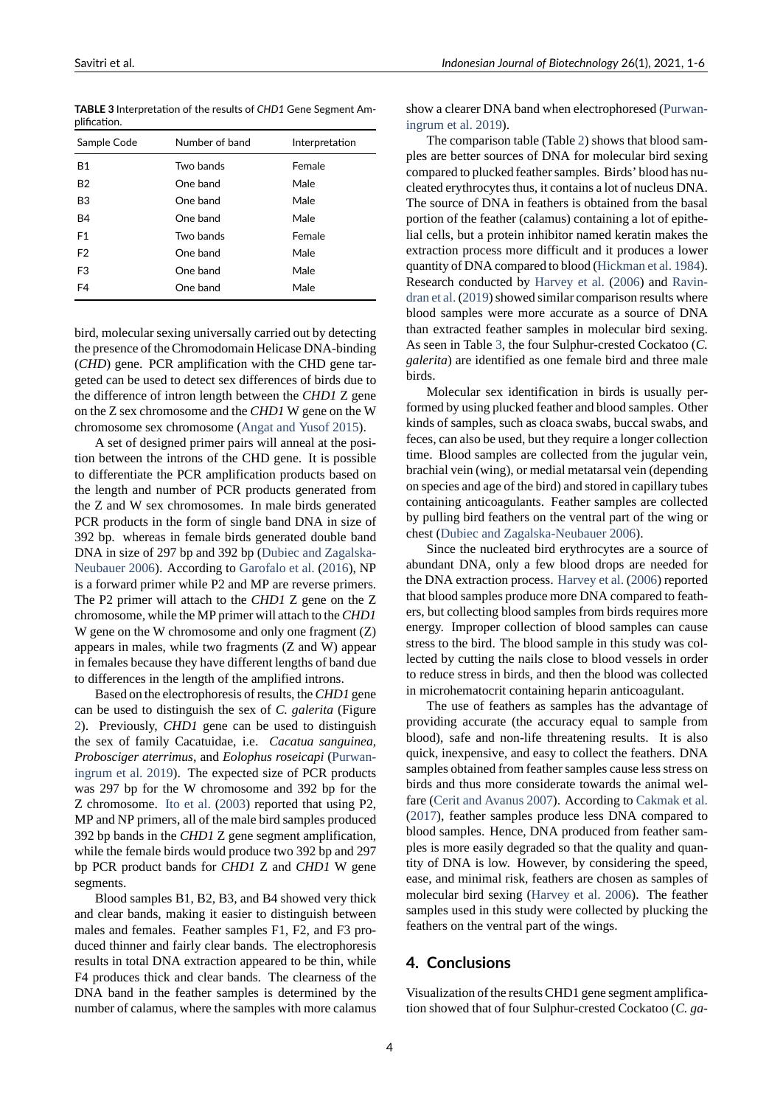| <b>TABLE 3</b> Interpretation of the results of CHD1 Gene Segment Am- |  |
|-----------------------------------------------------------------------|--|
| plification.                                                          |  |

<span id="page-3-0"></span>

| Sample Code    | Number of band | Interpretation |
|----------------|----------------|----------------|
| <b>B1</b>      | Two bands      | Female         |
| B <sub>2</sub> | One band       | Male           |
| B3             | One band       | Male           |
| <b>B4</b>      | One band       | Male           |
| F <sub>1</sub> | Two bands      | Female         |
| F <sub>2</sub> | One band       | Male           |
| F <sub>3</sub> | One band       | Male           |
| F4             | One band       | Male           |

bird, molecular sexing universally carried out by detecting the presence of the Chromodomain Helicase DNA-binding (*CHD*) gene. PCR amplification with the CHD gene targeted can be used to detect sex differences of birds due to the difference of intron length between the *CHD1* Z gene on the Z sex chromosome and the *CHD1* W gene on the W chromosome sex chromosome (Angat and Yusof 2015).

A set of designed primer pairs will anneal at the position between the introns of the CHD gene. It is possible to differentiate the PCR amplification products based on the length and number of PCR [products generated fr](#page-4-13)om the Z and W sex chromosomes. In male birds generated PCR products in the form of single band DNA in size of 392 bp. whereas in female birds generated double band DNA in size of 297 bp and 392 bp (Dubiec and Zagalska-Neubauer 2006). According to Garofalo et al. (2016), NP is a forward primer while P2 and MP are reverse primers. The P2 primer will attach to the *CHD1* Z gene on the Z chromosome, while the MP primer [will attach to the](#page-4-6)*CHD1* [W gene on the W](#page-4-6) chromosome [and only one fragmen](#page-4-19)t (Z) appears in males, while two fragments (Z and W) appear in females because they have different lengths of band due to differences in the length of the amplified introns.

Based on the electrophoresis of results, the*CHD1* gene can be used to distinguish the sex of *C. galerita* (Figure 2). Previously, *CHD1* gene can be used to distinguish the sex of family Cacatuidae, i.e. *Cacatua sanguinea, Probosciger aterrimus*, and *Eolophus roseicapi* (Purwaningrum et al. 2019). The expected size of PCR products [w](#page-2-1)as 297 bp for the W chromosome and 392 bp for the Z chromosome. Ito et al. (2003) reported that using P2, MP and NP primers, all of the male bird samples [produced](#page-5-2) [392 bp bands in the](#page-5-2) *CHD1* Z gene segment amplification, while the female birds would produce two 392 bp and 297 bp PCR product [bands fo](#page-4-16)r *[CHD](#page-4-16)1* Z and *CHD1* W gene segments.

Blood samples B1, B2, B3, and B4 showed very thick and clear bands, making it easier to distinguish between males and females. Feather samples F1, F2, and F3 produced thinner and fairly clear bands. The electrophoresis results in total DNA extraction appeared to be thin, while F4 produces thick and clear bands. The clearness of the DNA band in the feather samples is determined by the number of calamus, where the samples with more calamus

show a clearer DNA band when electrophoresed (Purwaningrum et al. 2019).

The comparison table (Table 2) shows that blood samples are better sources of DNA for molecular bird sexing compared to plucked feather samples. Birds' bloo[d has nu](#page-5-2)[cleated erythrocyte](#page-5-2)s thus, it contains a lot of nucleus DNA. The source of DNA in feathersi[s o](#page-2-2)btained from the basal portion of the feather (calamus) containing a lot of epithelial cells, but a protein inhibitor named keratin makes the extraction process more difficult and it produces a lower quantity of DNA compared to blood (Hickman et al. 1984). Research conducted by Harvey et al. (2006) and Ravindran et al. (2019) showed similar comparison results where blood samples were more accurate as a source of DNA than extracted feather samples in [molecular bird sexing](#page-4-20). As seen in Table 3, the four Sulphur-crested Cocka[too \(](#page-5-4)C. *[galerita](#page-5-4)*) a[re ide](#page-5-4)ntified as one female bird and three male birds.

Molecular sex identification in birds is usually performed by using [pl](#page-3-0)ucked feather and blood samples. Other kinds of samples, such as cloaca swabs, buccal swabs, and feces, can also be used, but they require a longer collection time. Blood samples are collected from the jugular vein, brachial vein (wing), or medial metatarsal vein (depending on species and age of the bird) and stored in capillary tubes containing anticoagulants. Feather samples are collected by pulling bird feathers on the ventral part of the wing or chest (Dubiec and Zagalska-Neubauer 2006).

Since the nucleated bird erythrocytes are a source of abundant DNA, only a few blood drops are needed for the DNA extraction process. Harvey et al. (2006) reported that bl[ood samples produce more DNA comp](#page-4-6)ared to feathers, but collecting blood samples from birds requires more energy. Improper collection of blood samples can cause stress to the bird. The blood [sample in this study](#page-4-17) was collected by cutting the nails close to blood vessels in order to reduce stress in birds, and then the blood was collected in microhematocrit containing heparin anticoagulant.

The use of feathers as samples has the advantage of providing accurate (the accuracy equal to sample from blood), safe and non-life threatening results. It is also quick, inexpensive, and easy to collect the feathers. DNA samples obtained from feather samples cause less stress on birds and thus more considerate towards the animal welfare (Cerit and Avanus 2007). According to Cakmak et al. (2017), feather samples produce less DNA compared to blood samples. Hence, DNA produced from feather samples is more easily degraded so that the quality and quantity [of DNA is low. Howev](#page-4-7)er, by consider[ing the speed,](#page-4-21) [ease, a](#page-4-21)nd minimal risk, feathers are chosen as samples of molecular bird sexing (Harvey et al. 2006). The feather samples used in this study were collected by plucking the feathers on the ventral part of the wings.

## **4. Conclusions**

Visualization of the results CHD1 gene segment amplification showed that of four Sulphur-crested Cockatoo (*C. ga*-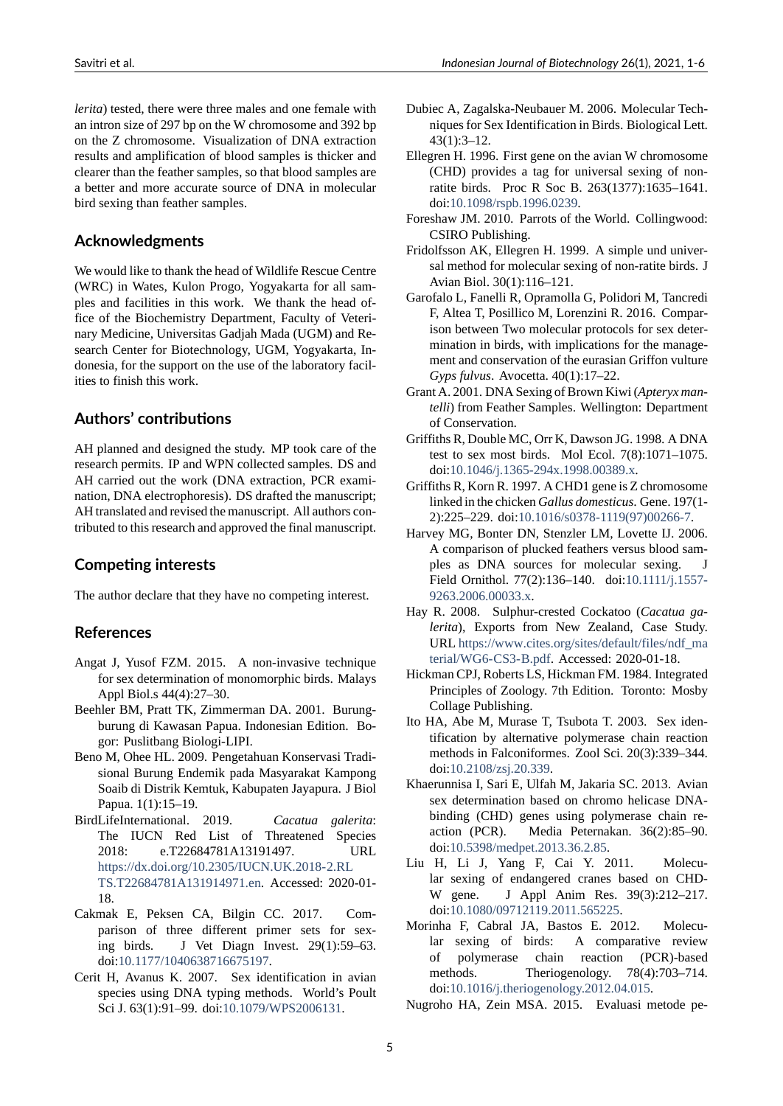*lerita*) tested, there were three males and one female with an intron size of 297 bp on the W chromosome and 392 bp on the Z chromosome. Visualization of DNA extraction results and amplification of blood samples is thicker and clearer than the feather samples, so that blood samples are a better and more accurate source of DNA in molecular bird sexing than feather samples.

## **Acknowledgments**

We would like to thank the head of Wildlife Rescue Centre (WRC) in Wates, Kulon Progo, Yogyakarta for all samples and facilities in this work. We thank the head office of the Biochemistry Department, Faculty of Veterinary Medicine, Universitas Gadjah Mada (UGM) and Research Center for Biotechnology, UGM, Yogyakarta, Indonesia, for the support on the use of the laboratory facilities to finish this work.

## **Authors' contributions**

AH planned and designed the study. MP took care of the research permits. IP and WPN collected samples. DS and AH carried out the work (DNA extraction, PCR examination, DNA electrophoresis). DS drafted the manuscript; AH translated and revised the manuscript. All authors contributed to this research and approved the final manuscript.

### **Competing interests**

The author declare that they have no competing interest.

### **References**

- Angat J, Yusof FZM. 2015. A non-invasive technique for sex determination of monomorphic birds. Malays Appl Biol.s 44(4):27–30.
- <span id="page-4-13"></span>Beehler BM, Pratt TK, Zimmerman DA. 2001. Burungburung di Kawasan Papua. Indonesian Edition. Bogor: Puslitbang Biologi-LIPI.
- <span id="page-4-1"></span>Beno M, Ohee HL. 2009. Pengetahuan Konservasi Tradisional Burung Endemik pada Masyarakat Kampong Soaib di Distrik Kemtuk, Kabupaten Jayapura. J Biol Papua. 1(1):15–19.
- <span id="page-4-4"></span>BirdLifeInternational. 2019. *Cacatua galerita*: The IUCN Red List of Threatened Species 2018: e.T22684781A13191497. URL https://dx.doi.org/10.2305/IUCN.UK.2018-2.RL TS.T22684781A131914971.en. Accessed: 2020-01-18.
- <span id="page-4-0"></span>Cakmak E, Peksen CA, Bilgin CC. 2017. Com[parison of three different primer sets for](https://dx.doi.org/10.2305/IUCN.UK.2018-2.RLTS.T22684781A131914971.en) sex[ing birds. J Vet Diagn](https://dx.doi.org/10.2305/IUCN.UK.2018-2.RLTS.T22684781A131914971.en) Invest. 29(1):59–63. doi:10.1177/1040638716675197.
- <span id="page-4-21"></span><span id="page-4-7"></span>Cerit H, Avanus K. 2007. Sex identification in avian species using DNA typing methods. World's Poult Sci J. 63(1):91–99. doi:10.1079/WPS2006131.
- Dubiec A, Zagalska-Neubauer M. 2006. Molecular Techniques for Sex Identification in Birds. Biological Lett. 43(1):3–12.
- <span id="page-4-6"></span>Ellegren H. 1996. First gene on the avian W chromosome (CHD) provides a tag for universal sexing of nonratite birds. Proc R Soc B. 263(1377):1635–1641. doi:10.1098/rspb.1996.0239.
- <span id="page-4-11"></span>Foreshaw JM. 2010. Parrots of the World. Collingwood: CSIRO Publishing.
- Fridolfsson AK, Ellegren H. 1999. A simple und universal [method for molecular sex](https://doi.org/10.1098/rspb.1996.0239)ing of non-ratite birds. J Avian Biol. 30(1):116–121.
- <span id="page-4-8"></span><span id="page-4-2"></span>Garofalo L, Fanelli R, Opramolla G, Polidori M, Tancredi F, Altea T, Posillico M, Lorenzini R. 2016. Comparison between Two molecular protocols for sex determination in birds, with implications for the management and conservation of the eurasian Griffon vulture *Gyps fulvus*. Avocetta. 40(1):17–22.
- <span id="page-4-19"></span>Grant A. 2001. DNA Sexing of Brown Kiwi (*Apteryx mantelli*) from Feather Samples. Wellington: Department of Conservation.
- <span id="page-4-9"></span>Griffiths R, Double MC, Orr K, Dawson JG. 1998. A DNA test to sex most birds. Mol Ecol. 7(8):1071–1075. doi:10.1046/j.1365-294x.1998.00389.x.
- <span id="page-4-15"></span>Griffiths R, Korn R. 1997. A CHD1 gene is Z chromosome linked in the chicken *Gallus domesticus*. Gene. 197(1 2):225-229. doi:10.1016/s0378-1119(97)00266-7.
- <span id="page-4-10"></span>Harvey [MG, Bonter DN, Stenzler LM, Lov](https://doi.org/10.1046/j.1365-294x.1998.00389.x)ette IJ. 2006. A comparison of plucked feathers versus blood samples as DNA sources for molecular sexing. J Field Ornithol. [77\(2\):136–140. doi:10.1111/j.155](https://doi.org/10.1016/s0378-1119(97)00266-7)7 9263.2006.00033.x.
- <span id="page-4-17"></span>Hay R. 2008. Sulphur-crested Cockatoo (Cacatua ga*lerita*), Exports from New Zealand, Case Study. URL https://www.cites.org/sites/defa[ult/files/ndf\\_ma](https://doi.org/10.1111/j.1557-9263.2006.00033.x) terial/WG6-CS3-B.pdf. Accessed: 2020-01-18.
- <span id="page-4-3"></span>Hickman CPJ, Roberts LS, Hickman FM. 1984. Integrated Principles of Zoology. 7th Edition. Toronto: Mosby Colla[ge Publishing.](https://www.cites.org/sites/default/files/ndf_material/WG6-CS3-B.pdf)
- <span id="page-4-20"></span>Ito [HA, Abe M, Murase T,](https://www.cites.org/sites/default/files/ndf_material/WG6-CS3-B.pdf) Tsubota T. 2003. Sex identification by alternative polymerase chain reaction methods in Falconiformes. Zool Sci. 20(3):339–344. doi:10.2108/zsj.20.339.
- <span id="page-4-16"></span>Khaerunnisa I, Sari E, Ulfah M, Jakaria SC. 2013. Avian sex determination based on chromo helicase DNAbinding (CHD) genes using polymerase chain reacti[on \(PCR\). Med](https://doi.org/10.2108/zsj.20.339)ia Peternakan. 36(2):85–90. doi:10.5398/medpet.2013.36.2.85.
- <span id="page-4-14"></span>Liu H, Li J, Yang F, Cai Y. 2011. Molecular sexing of endangered cranes based on CHD-W gene. J Appl Anim Res. 39(3):212–217. doi[:10.1080/09712119.2011.56522](https://doi.org/10.5398/medpet.2013.36.2.85)5.
- <span id="page-4-12"></span>Morinha F, Cabral JA, Bastos E. 2012. Molecular sexing of birds: A comparative review of polymerase chain reaction (PCR)-based methods. [Theriogenology.](https://doi.org/10.1080/09712119.2011.565225) 78(4):703-714. doi:10.1016/j.theriogenology.2012.04.015.
- <span id="page-4-18"></span><span id="page-4-5"></span>Nugroho HA, Zein MSA. 2015. Evaluasi metode pe-